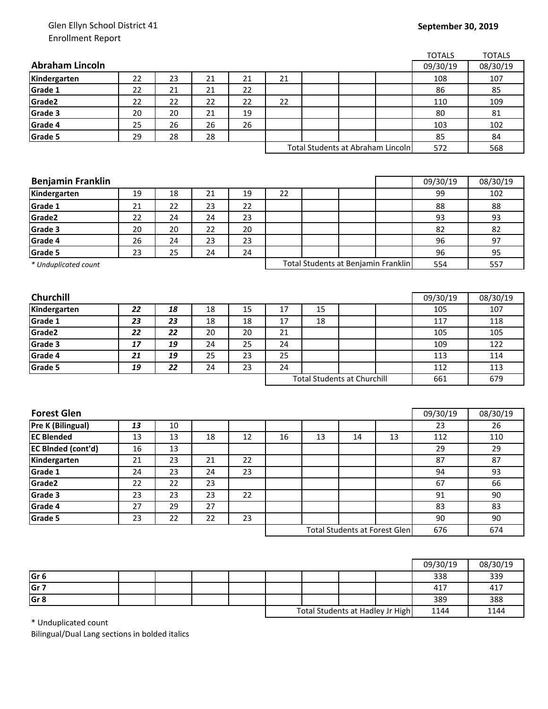## Glen Ellyn School District 41 Enrollment Report

## **September 30, 2019**

|                           |    |    |    |    |                                      |    |                                   |                                     | <b>TOTALS</b> | <b>TOTALS</b> |
|---------------------------|----|----|----|----|--------------------------------------|----|-----------------------------------|-------------------------------------|---------------|---------------|
| <b>Abraham Lincoln</b>    |    |    |    |    |                                      |    |                                   |                                     | 09/30/19      | 08/30/19      |
| Kindergarten              | 22 | 23 | 21 | 21 | 21                                   |    |                                   |                                     | 108           | 107           |
| Grade 1                   | 22 | 21 | 21 | 22 |                                      |    |                                   |                                     | 86            | 85            |
| Grade2                    | 22 | 22 | 22 | 22 | 22                                   |    |                                   |                                     | 110           | 109           |
| Grade 3                   | 20 | 20 | 21 | 19 |                                      |    |                                   |                                     | 80            | 81            |
| Grade 4                   | 25 | 26 | 26 | 26 |                                      |    |                                   |                                     | 103           | 102           |
| <b>Grade 5</b>            | 29 | 28 | 28 |    |                                      |    |                                   |                                     | 85            | 84            |
|                           |    |    |    |    |                                      |    | Total Students at Abraham Lincoln | 572                                 | 568           |               |
|                           |    |    |    |    |                                      |    |                                   |                                     |               |               |
|                           |    |    |    |    |                                      |    |                                   |                                     |               |               |
| <b>Benjamin Franklin</b>  |    |    |    |    |                                      |    |                                   |                                     | 09/30/19      | 08/30/19      |
| Kindergarten              | 19 | 18 | 21 | 19 | 22                                   |    |                                   |                                     | 99            | 102           |
| Grade 1                   | 21 | 22 | 23 | 22 |                                      |    |                                   |                                     | 88            | 88            |
| Grade2                    | 22 | 24 | 24 | 23 |                                      |    |                                   |                                     | 93            | 93            |
| Grade 3                   | 20 | 20 | 22 | 20 |                                      |    |                                   |                                     | 82            | 82            |
| Grade 4                   | 26 | 24 | 23 | 23 |                                      |    |                                   |                                     | 96            | 97            |
| Grade 5                   | 23 | 25 | 24 | 24 |                                      |    |                                   |                                     | 96            | 95            |
| * Unduplicated count      |    |    |    |    |                                      |    |                                   | Total Students at Benjamin Franklin | 554           | 557           |
|                           |    |    |    |    |                                      |    |                                   |                                     |               |               |
|                           |    |    |    |    |                                      |    |                                   |                                     |               |               |
| Churchill                 |    |    |    |    |                                      |    |                                   |                                     | 09/30/19      | 08/30/19      |
| Kindergarten              | 22 | 18 | 18 | 15 | 17                                   | 15 |                                   |                                     | 105           | 107           |
| Grade 1                   | 23 | 23 | 18 | 18 | 17                                   | 18 |                                   |                                     | 117           | 118           |
| Grade2                    | 22 | 22 | 20 | 20 | 21                                   |    |                                   |                                     | 105           | 105           |
| Grade 3                   | 17 | 19 | 24 | 25 | 24                                   |    |                                   |                                     | 109           | 122           |
| Grade 4                   | 21 | 19 | 25 | 23 | 25                                   |    |                                   |                                     | 113           | 114           |
| Grade 5                   | 19 | 22 | 24 | 23 | 24                                   |    |                                   |                                     | 112           | 113           |
|                           |    |    |    |    | <b>Total Students at Churchill</b>   |    |                                   | 661                                 | 679           |               |
|                           |    |    |    |    |                                      |    |                                   |                                     |               |               |
|                           |    |    |    |    |                                      |    |                                   |                                     |               |               |
| <b>Forest Glen</b>        |    |    |    |    |                                      |    |                                   |                                     | 09/30/19      | 08/30/19      |
| Pre K (Bilingual)         | 13 | 10 |    |    |                                      |    |                                   |                                     | 23            | 26            |
| <b>EC Blended</b>         | 13 | 13 | 18 | 12 | 16                                   | 13 | 14                                | 13                                  | 112           | 110           |
| <b>EC BInded (cont'd)</b> | 16 | 13 |    |    |                                      |    |                                   |                                     | 29            | 29            |
| Kindergarten              | 21 | 23 | 21 | 22 |                                      |    |                                   |                                     | 87            | 87            |
| Grade 1                   | 24 | 23 | 24 | 23 |                                      |    |                                   |                                     | 94            | 93            |
| Grade2                    | 22 | 22 | 23 |    |                                      |    |                                   |                                     | 67            | 66            |
| Grade 3                   | 23 | 23 | 23 | 22 |                                      |    |                                   |                                     | 91            | 90            |
| Grade 4                   | 27 | 29 | 27 |    |                                      |    |                                   |                                     | 83            | 83            |
| Grade 5                   | 23 | 22 | 22 | 23 |                                      |    |                                   |                                     | 90            | 90            |
|                           |    |    |    |    | <b>Total Students at Forest Glen</b> |    |                                   |                                     | 676           | 674           |
|                           |    |    |    |    |                                      |    |                                   |                                     |               |               |
|                           |    |    |    |    |                                      |    |                                   |                                     |               |               |
|                           |    |    |    |    |                                      |    |                                   |                                     |               |               |

|                 |  |  |                                  |  |      | 09/30/19 | 08/30/19 |
|-----------------|--|--|----------------------------------|--|------|----------|----------|
| Gr <sub>6</sub> |  |  |                                  |  |      | 338      | 339      |
| Gr <sub>7</sub> |  |  |                                  |  |      | 417      | 417      |
| Gr <sub>8</sub> |  |  |                                  |  |      | 389      | 388      |
|                 |  |  | Total Students at Hadley Jr High |  | 1144 | 1144     |          |

\* Unduplicated count

Bilingual/Dual Lang sections in bolded italics